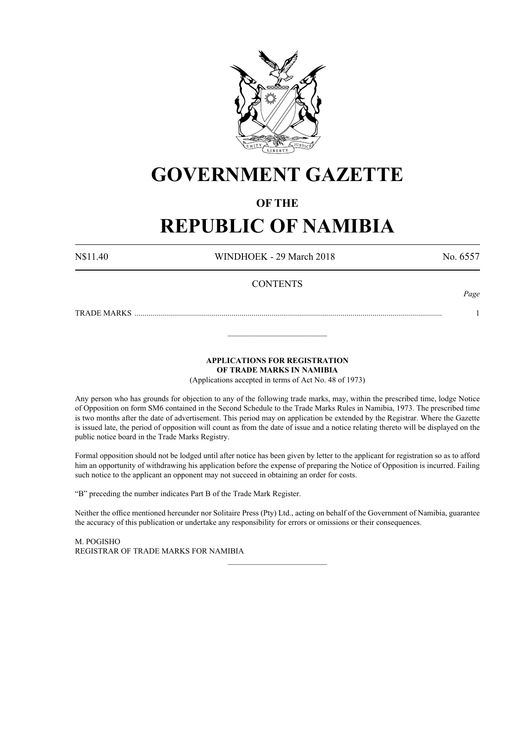

# **GOVERNMENT GAZETTE**

## **OF THE**

# **REPUBLIC OF NAMIBIA**

N\$11.40 WINDHOEK - 29 March 2018 No. 6557

*Page*

### **CONTENTS**

TRADE MARKS ........................................................................................................................................................... 1

**APPLICATIONS FOR REGISTRATION OF TRADE MARKS IN NAMIBIA**

\_\_\_\_\_\_\_\_\_\_\_\_\_\_\_\_\_\_\_\_\_\_\_\_\_

(Applications accepted in terms of Act No. 48 of 1973)

Any person who has grounds for objection to any of the following trade marks, may, within the prescribed time, lodge Notice of Opposition on form SM6 contained in the Second Schedule to the Trade Marks Rules in Namibia, 1973. The prescribed time is two months after the date of advertisement. This period may on application be extended by the Registrar. Where the Gazette is issued late, the period of opposition will count as from the date of issue and a notice relating thereto will be displayed on the public notice board in the Trade Marks Registry.

Formal opposition should not be lodged until after notice has been given by letter to the applicant for registration so as to afford him an opportunity of withdrawing his application before the expense of preparing the Notice of Opposition is incurred. Failing such notice to the applicant an opponent may not succeed in obtaining an order for costs.

"B" preceding the number indicates Part B of the Trade Mark Register.

Neither the office mentioned hereunder nor Solitaire Press (Pty) Ltd., acting on behalf of the Government of Namibia, guarantee the accuracy of this publication or undertake any responsibility for errors or omissions or their consequences.

\_\_\_\_\_\_\_\_\_\_\_\_\_\_\_\_\_\_\_\_\_\_\_\_\_

M. PogIsho REGISTRAR OF TRADE MARKS FOR NAMIBIA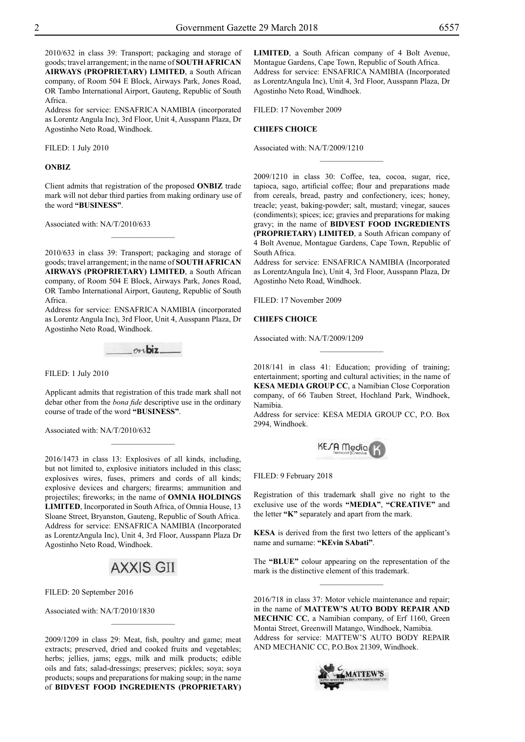2010/632 in class 39: Transport; packaging and storage of goods; travel arrangement; in the name of **SOUTH AFRICAN AIRWAYS (PROPRIETARY) LIMITED**, a South African company, of Room 504 E Block, Airways Park, Jones Road, OR Tambo International Airport, Gauteng, Republic of South Africa.

Address for service: ENSAFRICA NAMIBIA (incorporated as Lorentz Angula Inc), 3rd Floor, Unit 4, Ausspann Plaza, Dr Agostinho Neto Road, Windhoek.

Filed: 1 July 2010

#### **ONBIZ**

Client admits that registration of the proposed **ONBIZ** trade mark will not debar third parties from making ordinary use of the word **"BUSINESS"**.

 $\overline{\phantom{a}}$  , where  $\overline{\phantom{a}}$ 

Associated with: NA/T/2010/633

2010/633 in class 39: Transport; packaging and storage of goods; travel arrangement; in the name of **SOUTH AFRICAN AIRWAYS (PROPRIETARY) LIMITED**, a South African company, of Room 504 E Block, Airways Park, Jones Road, OR Tambo International Airport, Gauteng, Republic of South Africa.

Address for service: ENSAFRICA NAMIBIA (incorporated as Lorentz Angula Inc), 3rd Floor, Unit 4, Ausspann Plaza, Dr Agostinho Neto Road, Windhoek.



Filed: 1 July 2010

Applicant admits that registration of this trade mark shall not debar other from the *bona fide* descriptive use in the ordinary course of trade of the word **"BUSINESS"**.

 $\frac{1}{2}$ 

Associated with: NA/T/2010/632

2016/1473 in class 13: Explosives of all kinds, including, but not limited to, explosive initiators included in this class; explosives wires, fuses, primers and cords of all kinds; explosive devices and chargers; firearms; ammunition and projectiles; fireworks; in the name of **OMNIA HOLDINGS LIMITED**, Incorporated in South Africa, of Omnia House, 13 Sloane Street, Bryanston, Gauteng, Republic of South Africa. Address for service: ENSafrica Namibia (Incorporated as LorentzAngula Inc), Unit 4, 3rd Floor, Ausspann Plaza Dr Agostinho Neto Road, Windhoek.

# **AXXIS GII**

Filed: 20 September 2016

Associated with: NA/T/2010/1830

2009/1209 in class 29: Meat, fish, poultry and game; meat extracts; preserved, dried and cooked fruits and vegetables; herbs; jellies, jams; eggs, milk and milk products; edible oils and fats; salad-dressings; preserves; pickles; soya; soya products; soups and preparations for making soup; in the name of **BIDVEST FOOD INGREDIENTS (PROPRIETARY)** 

 $\overline{\phantom{a}}$  , where  $\overline{\phantom{a}}$ 

**LIMITED**, a South African company of 4 Bolt Avenue, Montague Gardens, Cape Town, Republic of South Africa. Address for service: ENSAFRICA NAMIBIA (Incorporated as LorentzAngula Inc), Unit 4, 3rd Floor, Ausspann Plaza, Dr Agostinho Neto Road, Windhoek.

Filed: 17 November 2009

#### **CHIEFS CHOICE**

Associated with: NA/T/2009/1210

2009/1210 in class 30: Coffee, tea, cocoa, sugar, rice, tapioca, sago, artificial coffee; flour and preparations made from cereals, bread, pastry and confectionery, ices; honey, treacle; yeast, baking-powder; salt, mustard; vinegar, sauces (condiments); spices; ice; gravies and preparations for making gravy; in the name of **BIDVEST FOOD INGREDIENTS (PROPRIETARY) LIMITED**, a South African company of 4 Bolt Avenue, Montague Gardens, Cape Town, Republic of South Africa.

 $\frac{1}{2}$ 

Address for service: ENSafrica Namibia (Incorporated as LorentzAngula Inc), Unit 4, 3rd Floor, Ausspann Plaza, Dr Agostinho Neto Road, Windhoek.

Filed: 17 November 2009

#### **CHIEFS CHOICE**

Associated with: NA/T/2009/1209

2018/141 in class 41: Education; providing of training; entertainment; sporting and cultural activities; in the name of **KESA MEDIA GROUP CC**, a Namibian Close Corporation company, of 66 Tauben Street, Hochland Park, Windhoek, Namibia.

Address for service: KESA MEDIA GROUP CC, P.O. Box 2994, Windhoek.



FILED: 9 February 2018

Registration of this trademark shall give no right to the exclusive use of the words "MEDIA", "CREATIVE" and the letter **"K"** separately and apart from the mark.

**KESA** is derived from the first two letters of the applicant's name and surname: **"KEvin SAbati"**.

The "**BLUE**" colour appearing on the representation of the mark is the distinctive element of this trademark.  $\overline{\phantom{a}}$  , where  $\overline{\phantom{a}}$ 

2016/718 in class 37: Motor vehicle maintenance and repair; in the name of **MATTEW'S AUTO BODY REPAIR AND MECHNIC CC**, a Namibian company, of Erf 1160, Green Montai Street, Greenwill Matango, Windhoek, Namibia. Address for service: MATTEW'S AUTO BODY REPAIR And Mechanic CC, P.O.Box 21309, Windhoek.

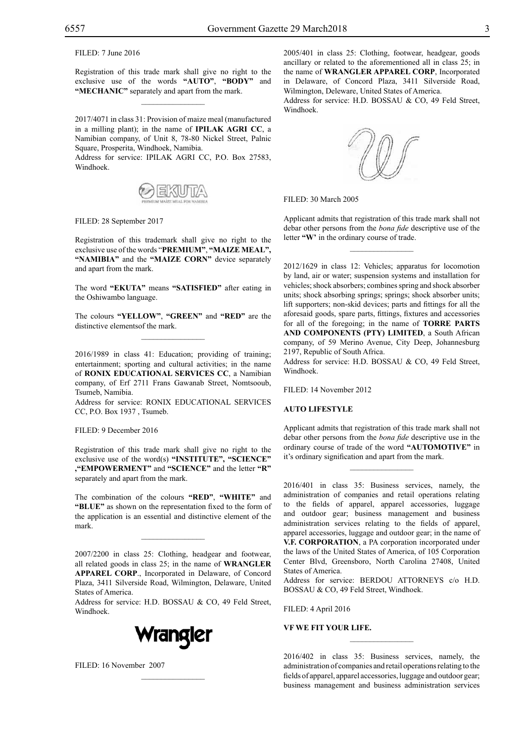Filed: 7 June 2016

Registration of this trade mark shall give no right to the exclusive use of the words **"AUTO"**, **"BODY"** and **"MECHANIC"** separately and apart from the mark.

 $\mathcal{L}=\mathcal{L}^{\text{max}}$ 

2017/4071 in class 31: Provision of maize meal (manufactured in a milling plant); in the name of **IPILAK AGRI CC**, a Namibian company, of Unit 8, 78-80 Nickel Street, Palnic Square, Prosperita, Windhoek, Namibia.

Address for service: IPILAK AGRI CC, P.O. Box 27583, Windhoek.



FILED: 28 September 2017

Registration of this trademark shall give no right to the exclusive use of the words "**PREMIUM"**, **"MAIZE MEAL", "NAMIBIA"** and the **"MAIZE CORN"** device separately and apart from the mark.

The word **"EKUTA"** means **"SATISFIED"** after eating in the Oshiwambo language.

The colours **"Yellow"**, **"GREEN"** and **"RED"** are the distinctive elementsof the mark.  $\overline{\phantom{a}}$  , where  $\overline{\phantom{a}}$ 

2016/1989 in class 41: Education; providing of training; entertainment; sporting and cultural activities; in the name of **RONIX EDUCATIONAL SERVICES CC**, a Namibian company, of Erf 2711 Frans Gawanab Street, Nomtsooub, Tsumeb, Namibia.

Address for service: RONIX EDUCATIONAL SERVICES CC, P.O. Box 1937 , Tsumeb.

Filed: 9 December 2016

Registration of this trade mark shall give no right to the exclusive use of the word(s) **"INSTITUTE", "SCIENCE" ,"EMPOWERMENT"** and **"SCIENCE"** and the letter **"R"**  separately and apart from the mark.

The combination of the colours **"RED"**, **"WHITE"** and **"BLUE"** as shown on the representation fixed to the form of the application is an essential and distinctive element of the mark.

 $\overline{\phantom{a}}$  , where  $\overline{\phantom{a}}$ 

2007/2200 in class 25: Clothing, headgear and footwear, all related goods in class 25; in the name of **WRANGLER APPAREL CORP**., Incorporated in Delaware, of Concord Plaza, 3411 Silverside Road, Wilmington, Delaware, United States of America.

Address for service: H.D. BOSSAU & CO, 49 Feld Street, Windhoek.



 $\mathcal{L}=\mathcal{L}^{\text{max}}$ 

Filed: 16 November 2007

2005/401 in class 25: Clothing, footwear, headgear, goods ancillary or related to the aforementioned all in class 25; in the name of **WRANGLER APPAREL CORP**, Incorporated in Delaware, of Concord Plaza, 3411 Silverside Road, Wilmington, Deleware, United States of America. Address for service: H.D. BOSSAU & CO, 49 Feld Street, Windhoek.



Filed: 30 March 2005

Applicant admits that registration of this trade mark shall not debar other persons from the *bona fide* descriptive use of the letter **"W'** in the ordinary course of trade.

 $\overline{\phantom{a}}$  , where  $\overline{\phantom{a}}$ 

2012/1629 in class 12: Vehicles; apparatus for locomotion by land, air or water; suspension systems and installation for vehicles; shock absorbers; combines spring and shock absorber units; shock absorbing springs; springs; shock absorber units; lift supporters; non-skid devices; parts and fittings for all the aforesaid goods, spare parts, fittings, fixtures and accessories for all of the foregoing; in the name of **TORRE PARTS AND COMPONENTS (PTY) LIMITED**, a South African company, of 59 Merino Avenue, City Deep, Johannesburg 2197, Republic of South Africa.

Address for service: H.D. BOSSAU & CO, 49 Feld Street, Windhoek.

Filed: 14 November 2012

#### **AUTO LIFESTYLE**

Applicant admits that registration of this trade mark shall not debar other persons from the *bona fide* descriptive use in the ordinary course of trade of the word **"AUTOMOTIVE"** in it's ordinary signification and apart from the mark.

 $\frac{1}{2}$ 

2016/401 in class 35: Business services, namely, the administration of companies and retail operations relating to the fields of apparel, apparel accessories, luggage and outdoor gear; business management and business administration services relating to the fields of apparel, apparel accessories, luggage and outdoor gear; in the name of **V.F. CORPORATION**, a PA corporation incorporated under the laws of the United States of America, of 105 Corporation Center Blvd, Greensboro, North Carolina 27408, United States of America.

Address for service: BERDOU ATTORNEYS c/o H.D. BOSSAU & CO, 49 Feld Street, Windhoek.

Filed: 4 April 2016

#### **VF WE FIT YOUR LIFE.**

2016/402 in class 35: Business services, namely, the administration of companies and retail operations relating to the fields of apparel, apparel accessories, luggage and outdoor gear; business management and business administration services

 $\frac{1}{2}$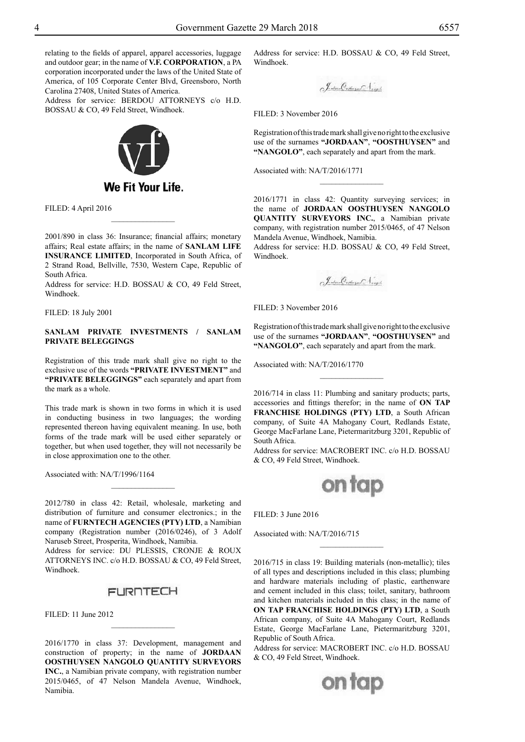relating to the fields of apparel, apparel accessories, luggage and outdoor gear; in the name of **V.F. CORPORATION**, a PA corporation incorporated under the laws of the United State of America, of 105 Corporate Center Blvd, Greensboro, North Carolina 27408, United States of America.

Address for service: BERDOU ATTORNEYS c/o H.D. BOSSAU & CO, 49 Feld Street, Windhoek.



Filed: 4 April 2016

2001/890 in class 36: Insurance; financial affairs; monetary affairs; Real estate affairs; in the name of **SANLAM LIFE INSURANCE LIMITED**, Incorporated in South Africa, of 2 Strand Road, Bellville, 7530, Western Cape, Republic of South Africa.

 $\frac{1}{2}$ 

Address for service: H.D. BOSSAU & CO, 49 Feld Street, Windhoek.

Filed: 18 July 2001

#### **SANLAM PRIVATE INVESTMENTS / SANLAM PRIVATE BELEGGINGS**

Registration of this trade mark shall give no right to the exclusive use of the words **"PRIVATE INVESTMENT"** and **"PRIVATE BELEGGINGS"** each separately and apart from the mark as a whole.

This trade mark is shown in two forms in which it is used in conducting business in two languages; the wording represented thereon having equivalent meaning. In use, both forms of the trade mark will be used either separately or together, but when used together, they will not necessarily be in close approximation one to the other.

Associated with: NA/T/1996/1164

2012/780 in class 42: Retail, wholesale, marketing and distribution of furniture and consumer electronics.; in the name of **FURNTECH AGENCIES (PTY) LTD**, a Namibian company (Registration number (2016/0246), of 3 Adolf Naruseb Street, Prosperita, Windhoek, Namibia.

 $\frac{1}{2}$ 

Address for service: DU PLESSIS, CRONJE & ROUX ATTORNEYS INC. c/o H.D. BOSSAU & CO, 49 Feld Street, Windhoek.

### **FURNTECH**

 $\frac{1}{2}$ 

 $FILED: 11$  June 2012

2016/1770 in class 37: Development, management and construction of property; in the name of **JORDAAN OOSTHUYSEN NANGOLO QUANTITY SURVEYORS INC.**, a Namibian private company, with registration number 2015/0465, of 47 Nelson Mandela Avenue, Windhoek, Namibia.

Address for service: H.D. BOSSAU & CO, 49 Feld Street, Windhoek.

FILED: 3 November 2016

Registration of this trade mark shall give no right to the exclusive use of the surnames **"JORDAAN"**, **"OOSTHUYSEN"** and **"NANGOLO"**, each separately and apart from the mark.

 $\frac{1}{2}$ 

Associated with: NA/T/2016/1771

2016/1771 in class 42: Quantity surveying services; in the name of **JORDAAN OOSTHUYSEN NANGOLO QUANTITY SURVEYORS INC.**, a Namibian private company, with registration number 2015/0465, of 47 Nelson Mandela Avenue, Windhoek, Namibia.

Address for service: H.D. BOSSAU & CO, 49 Feld Street, Windhoek.

J. about Collage Langh

Filed: 3 November 2016

Registration of this trade mark shall give no right to the exclusive use of the surnames **"JORDAAN"**, **"OOSTHUYSEN"** and **"NANGOLO"**, each separately and apart from the mark.

Associated with: NA/T/2016/1770

2016/714 in class 11: Plumbing and sanitary products; parts, accessories and fittings therefor; in the name of **ON TAP FRANCHISE HOLDINGS (PTY) LTD**, a South African company, of Suite 4A Mahogany Court, Redlands Estate, George MacFarlane Lane, Pietermaritzburg 3201, Republic of South Africa.

Address for service: MACROBERT INC. c/o H.D. BOSSAU & Co, 49 Feld Street, Windhoek.



 $\overline{\phantom{a}}$  , where  $\overline{\phantom{a}}$ 

FILED: 3 June 2016

Associated with: NA/T/2016/715

2016/715 in class 19: Building materials (non-metallic); tiles of all types and descriptions included in this class; plumbing and hardware materials including of plastic, earthenware and cement included in this class; toilet, sanitary, bathroom and kitchen materials included in this class; in the name of **ON TAP FRANCHISE HOLDINGS (PTY) LTD**, a South African company, of Suite 4A Mahogany Court, Redlands Estate, George MacFarlane Lane, Pietermaritzburg 3201, Republic of South Africa.

Address for service: MACROBERT INC. c/o H.D. BOSSAU & Co, 49 Feld Street, Windhoek.

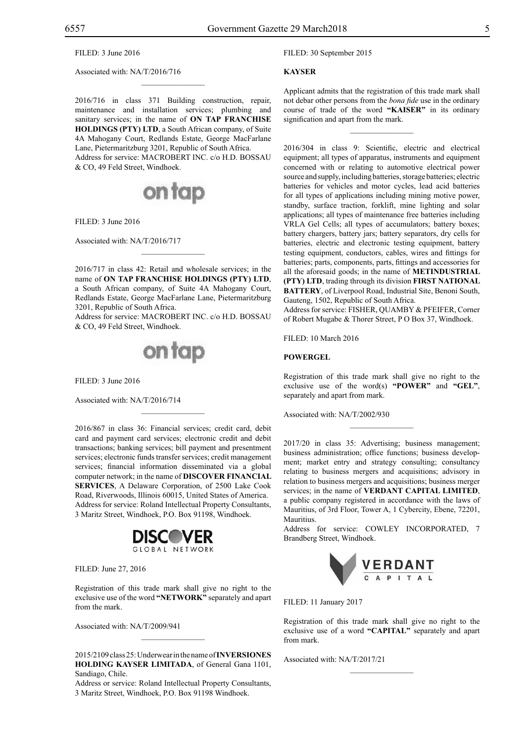#### FILED: 3 June 2016

Associated with: NA/T/2016/716

2016/716 in class 371 Building construction, repair, maintenance and installation services; plumbing and sanitary services; in the name of **ON TAP FRANCHISE HOLDINGS (PTY) LTD**, a South African company, of Suite 4A Mahogany Court, Redlands Estate, George MacFarlane Lane, Pietermaritzburg 3201, Republic of South Africa. Address for service: MACROBERT INC. c/o H.D. BOSSAU & Co, 49 Feld Street, Windhoek.

 $\overline{\phantom{a}}$  , where  $\overline{\phantom{a}}$ 



Filed: 3 June 2016

Associated with: NA/T/2016/717

2016/717 in class 42: Retail and wholesale services; in the name of **ON TAP FRANCHISE HOLDINGS (PTY) LTD**, a South African company, of Suite 4A Mahogany Court, Redlands Estate, George MacFarlane Lane, Pietermaritzburg 3201, Republic of South Africa.

 $\mathcal{L}=\mathcal{L}^{\mathcal{L}}$ 

Address for service: MACROBERT INC. c/o H.D. BOSSAU & Co, 49 Feld Street, Windhoek.



FILED: 3 June 2016

Associated with: NA/T/2016/714

2016/867 in class 36: Financial services; credit card, debit card and payment card services; electronic credit and debit transactions; banking services; bill payment and presentment services; electronic funds transfer services; credit management services; financial information disseminated via a global computer network; in the name of **DISCOVER FINANCIAL SERVICES**, A Delaware Corporation, of 2500 Lake Cook Road, Riverwoods, Illinois 60015, United States of America. Address for service: Roland Intellectual Property Consultants, 3 Maritz Street, Windhoek, P.O. Box 91198, Windhoek.

 $\mathcal{L}=\mathcal{L}^{\mathcal{L}}$ 



Filed: June 27, 2016

Registration of this trade mark shall give no right to the exclusive use of the word **"NETWORK"** separately and apart from the mark.

Associated with: NA/T/2009/941

2015/2109 class 25: Underwear in the name of **INVERSIONES HOLDING KAYSER LIMITADA**, of General Gana 1101, Sandiago, Chile.

 $\overline{\phantom{a}}$  , where  $\overline{\phantom{a}}$ 

Address or service: Roland Intellectual Property Consultants, 3 Maritz Street, Windhoek, P.O. Box 91198 Windhoek.

Filed: 30 September 2015

#### **KAYSER**

Applicant admits that the registration of this trade mark shall not debar other persons from the *bona fide* use in the ordinary course of trade of the word **"KAISER"** in its ordinary signification and apart from the mark.

 $\overline{\phantom{a}}$  , where  $\overline{\phantom{a}}$ 

2016/304 in class 9: Scientific, electric and electrical equipment; all types of apparatus, instruments and equipment concerned with or relating to automotive electrical power source and supply, including batteries, storage batteries; electric batteries for vehicles and motor cycles, lead acid batteries for all types of applications including mining motive power, standby, surface traction, forklift, mine lighting and solar applications; all types of maintenance free batteries including VRLA Gel Cells; all types of accumulators; battery boxes; battery chargers, battery jars; battery separators, dry cells for batteries, electric and electronic testing equipment, battery testing equipment, conductors, cables, wires and fittings for batteries; parts, components, parts, fittings and accessories for all the aforesaid goods; in the name of **METINDUSTRIAL (PTY) LTD**, trading through its division **FIRST NATIONAL BATTERY**, of Liverpool Road, Industrial Site, Benoni South, Gauteng, 1502, Republic of South Africa.

Address for service: FISHER, QUAMBY & PFEIFER, Corner of Robert Mugabe & Thorer Street, P O Box 37, Windhoek.

Filed: 10 March 2016

#### **POWERGEL**

Registration of this trade mark shall give no right to the exclusive use of the word(s) **"POWER"** and **"GEL"**, separately and apart from mark.

 $\frac{1}{2}$ 

Associated with: NA/T/2002/930

2017/20 in class 35: Advertising; business management; business administration; office functions; business development; market entry and strategy consulting; consultancy relating to business mergers and acquisitions; advisory in relation to business mergers and acquisitions; business merger services; in the name of **VERDANT CAPITAL LIMITED**, a public company registered in accordance with the laws of Mauritius, of 3rd Floor, Tower A, 1 Cybercity, Ebene, 72201, **Mauritius** 

Address for service: COWLEY INCORPORATED, 7 Brandberg Street, Windhoek.



Filed: 11 January 2017

Registration of this trade mark shall give no right to the exclusive use of a word **"CAPITAL"** separately and apart from mark.

 $\overline{\phantom{a}}$  , where  $\overline{\phantom{a}}$ 

Associated with: NA/T/2017/21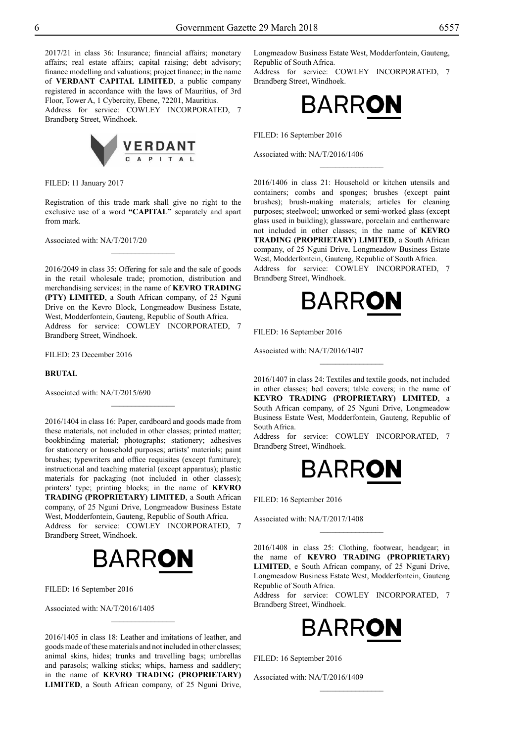2017/21 in class 36: Insurance; financial affairs; monetary affairs; real estate affairs; capital raising; debt advisory; finance modelling and valuations; project finance; in the name of **VERDANT CAPITAL LIMITED**, a public company registered in accordance with the laws of Mauritius, of 3rd Floor, Tower A, 1 Cybercity, Ebene, 72201, Mauritius. Address for service: COWLEY INCORPORATED, 7 Brandberg Street, Windhoek.



Filed: 11 January 2017

Registration of this trade mark shall give no right to the exclusive use of a word **"CAPITAL"** separately and apart from mark.

 $\frac{1}{2}$ 

Associated with: NA/T/2017/20

2016/2049 in class 35: Offering for sale and the sale of goods in the retail wholesale trade; promotion, distribution and merchandising services; in the name of **KEVRO TRADING (PTY) LIMITED**, a South African company, of 25 Nguni Drive on the Kevro Block, Longmeadow Business Estate, West, Modderfontein, Gauteng, Republic of South Africa. Address for service: COWLEY INCORPORATED, 7 Brandberg Street, Windhoek.

Filed: 23 December 2016

#### **BRUTAL**

Associated with: NA/T/2015/690

2016/1404 in class 16: Paper, cardboard and goods made from these materials, not included in other classes; printed matter; bookbinding material; photographs; stationery; adhesives for stationery or household purposes; artists' materials; paint brushes; typewriters and office requisites (except furniture); instructional and teaching material (except apparatus); plastic materials for packaging (not included in other classes); printers' type; printing blocks; in the name of **KEVRO TRADING (PROPRIETARY) LIMITED**, a South African company, of 25 Nguni Drive, Longmeadow Business Estate West, Modderfontein, Gauteng, Republic of South Africa. Address for service: COWLEY INCORPORATED, 7 Brandberg Street, Windhoek.

 $\frac{1}{2}$ 



FILED: 16 September 2016

Associated with: NA/T/2016/1405

2016/1405 in class 18: Leather and imitations of leather, and goods made of these materials and not included in other classes; animal skins, hides; trunks and travelling bags; umbrellas and parasols; walking sticks; whips, harness and saddlery; in the name of **KEVRO TRADING (PROPRIETARY) LIMITED**, a South African company, of 25 Nguni Drive,

 $\overline{\phantom{a}}$  , where  $\overline{\phantom{a}}$ 

Longmeadow Business Estate West, Modderfontein, Gauteng, Republic of South Africa. Address for service: COWLEY INCORPORATED, 7 Brandberg Street, Windhoek.



 $\frac{1}{2}$ 

FILED: 16 September 2016

Associated with: NA/T/2016/1406

2016/1406 in class 21: Household or kitchen utensils and containers; combs and sponges; brushes (except paint brushes); brush-making materials; articles for cleaning purposes; steelwool; unworked or semi-worked glass (except glass used in building); glassware, porcelain and earthenware not included in other classes; in the name of **KEVRO TRADING (PROPRIETARY) LIMITED**, a South African company, of 25 Nguni Drive, Longmeadow Business Estate West, Modderfontein, Gauteng, Republic of South Africa. Address for service: COWLEY INCORPORATED, 7 Brandberg Street, Windhoek.



Filed: 16 September 2016

Associated with: NA/T/2016/1407

2016/1407 in class 24: Textiles and textile goods, not included in other classes; bed covers; table covers; in the name of **KEVRO TRADING (PROPRIETARY) LIMITED**, a South African company, of 25 Nguni Drive, Longmeadow Business Estate West, Modderfontein, Gauteng, Republic of South Africa.

 $\frac{1}{2}$ 

Address for service: COWLEY INCORPORATED, 7 Brandberg Street, Windhoek.



FILED: 16 September 2016

Associated with: NA/T/2017/1408

2016/1408 in class 25: Clothing, footwear, headgear; in the name of **KEVRO TRADING (PROPRIETARY) LIMITED**, e South African company, of 25 Nguni Drive, Longmeadow Business Estate West, Modderfontein, Gauteng Republic of South Africa.

 $\frac{1}{2}$ 

Address for service: COWLEY INCORPORATED, 7 Brandberg Street, Windhoek.



 $\frac{1}{2}$ 

Filed: 16 September 2016

Associated with: NA/T/2016/1409